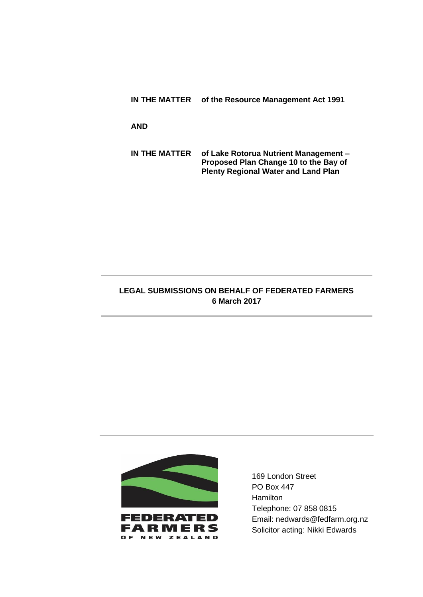**IN THE MATTER of the Resource Management Act 1991**

**AND**

**IN THE MATTER of Lake Rotorua Nutrient Management – Proposed Plan Change 10 to the Bay of Plenty Regional Water and Land Plan**

# **LEGAL SUBMISSIONS ON BEHALF OF FEDERATED FARMERS 6 March 2017**



169 London Street PO Box 447 **Hamilton** Telephone: 07 858 0815 Email: nedwards@fedfarm.org.nz Solicitor acting: Nikki Edwards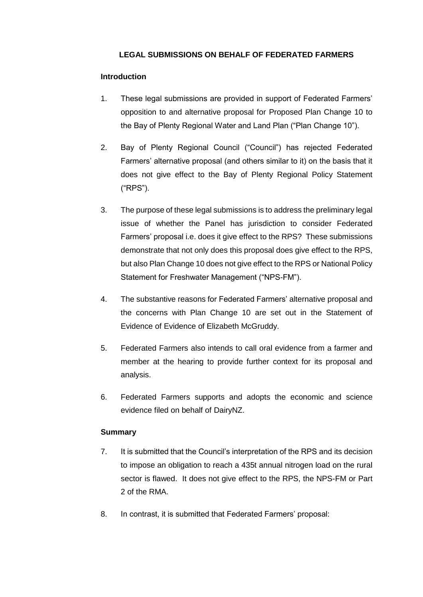# **LEGAL SUBMISSIONS ON BEHALF OF FEDERATED FARMERS**

# **Introduction**

- 1. These legal submissions are provided in support of Federated Farmers' opposition to and alternative proposal for Proposed Plan Change 10 to the Bay of Plenty Regional Water and Land Plan ("Plan Change 10").
- 2. Bay of Plenty Regional Council ("Council") has rejected Federated Farmers' alternative proposal (and others similar to it) on the basis that it does not give effect to the Bay of Plenty Regional Policy Statement ("RPS").
- 3. The purpose of these legal submissions is to address the preliminary legal issue of whether the Panel has jurisdiction to consider Federated Farmers' proposal i.e. does it give effect to the RPS? These submissions demonstrate that not only does this proposal does give effect to the RPS, but also Plan Change 10 does not give effect to the RPS or National Policy Statement for Freshwater Management ("NPS-FM").
- 4. The substantive reasons for Federated Farmers' alternative proposal and the concerns with Plan Change 10 are set out in the Statement of Evidence of Evidence of Elizabeth McGruddy.
- 5. Federated Farmers also intends to call oral evidence from a farmer and member at the hearing to provide further context for its proposal and analysis.
- 6. Federated Farmers supports and adopts the economic and science evidence filed on behalf of DairyNZ.

# **Summary**

- 7. It is submitted that the Council's interpretation of the RPS and its decision to impose an obligation to reach a 435t annual nitrogen load on the rural sector is flawed. It does not give effect to the RPS, the NPS-FM or Part 2 of the RMA.
- 8. In contrast, it is submitted that Federated Farmers' proposal: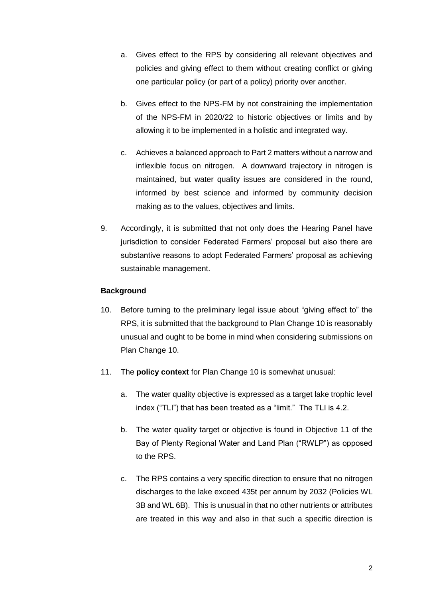- a. Gives effect to the RPS by considering all relevant objectives and policies and giving effect to them without creating conflict or giving one particular policy (or part of a policy) priority over another.
- b. Gives effect to the NPS-FM by not constraining the implementation of the NPS-FM in 2020/22 to historic objectives or limits and by allowing it to be implemented in a holistic and integrated way.
- c. Achieves a balanced approach to Part 2 matters without a narrow and inflexible focus on nitrogen. A downward trajectory in nitrogen is maintained, but water quality issues are considered in the round, informed by best science and informed by community decision making as to the values, objectives and limits.
- 9. Accordingly, it is submitted that not only does the Hearing Panel have jurisdiction to consider Federated Farmers' proposal but also there are substantive reasons to adopt Federated Farmers' proposal as achieving sustainable management.

# **Background**

- 10. Before turning to the preliminary legal issue about "giving effect to" the RPS, it is submitted that the background to Plan Change 10 is reasonably unusual and ought to be borne in mind when considering submissions on Plan Change 10.
- 11. The **policy context** for Plan Change 10 is somewhat unusual:
	- a. The water quality objective is expressed as a target lake trophic level index ("TLI") that has been treated as a "limit." The TLI is 4.2.
	- b. The water quality target or objective is found in Objective 11 of the Bay of Plenty Regional Water and Land Plan ("RWLP") as opposed to the RPS.
	- c. The RPS contains a very specific direction to ensure that no nitrogen discharges to the lake exceed 435t per annum by 2032 (Policies WL 3B and WL 6B). This is unusual in that no other nutrients or attributes are treated in this way and also in that such a specific direction is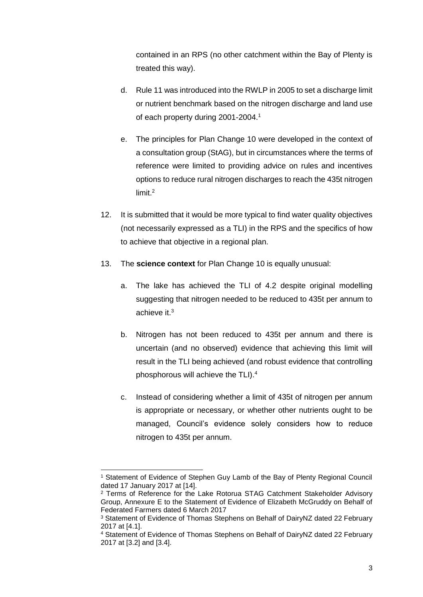contained in an RPS (no other catchment within the Bay of Plenty is treated this way).

- d. Rule 11 was introduced into the RWLP in 2005 to set a discharge limit or nutrient benchmark based on the nitrogen discharge and land use of each property during 2001-2004.<sup>1</sup>
- e. The principles for Plan Change 10 were developed in the context of a consultation group (StAG), but in circumstances where the terms of reference were limited to providing advice on rules and incentives options to reduce rural nitrogen discharges to reach the 435t nitrogen limit.<sup>2</sup>
- 12. It is submitted that it would be more typical to find water quality objectives (not necessarily expressed as a TLI) in the RPS and the specifics of how to achieve that objective in a regional plan.
- 13. The **science context** for Plan Change 10 is equally unusual:
	- a. The lake has achieved the TLI of 4.2 despite original modelling suggesting that nitrogen needed to be reduced to 435t per annum to achieve it. 3
	- b. Nitrogen has not been reduced to 435t per annum and there is uncertain (and no observed) evidence that achieving this limit will result in the TLI being achieved (and robust evidence that controlling phosphorous will achieve the TLI).<sup>4</sup>
	- c. Instead of considering whether a limit of 435t of nitrogen per annum is appropriate or necessary, or whether other nutrients ought to be managed, Council's evidence solely considers how to reduce nitrogen to 435t per annum.

 $\overline{a}$ 

<sup>1</sup> Statement of Evidence of Stephen Guy Lamb of the Bay of Plenty Regional Council dated 17 January 2017 at [14].

<sup>2</sup> Terms of Reference for the Lake Rotorua STAG Catchment Stakeholder Advisory Group, Annexure E to the Statement of Evidence of Elizabeth McGruddy on Behalf of Federated Farmers dated 6 March 2017

<sup>3</sup> Statement of Evidence of Thomas Stephens on Behalf of DairyNZ dated 22 February 2017 at [4.1].

<sup>4</sup> Statement of Evidence of Thomas Stephens on Behalf of DairyNZ dated 22 February 2017 at [3.2] and [3.4].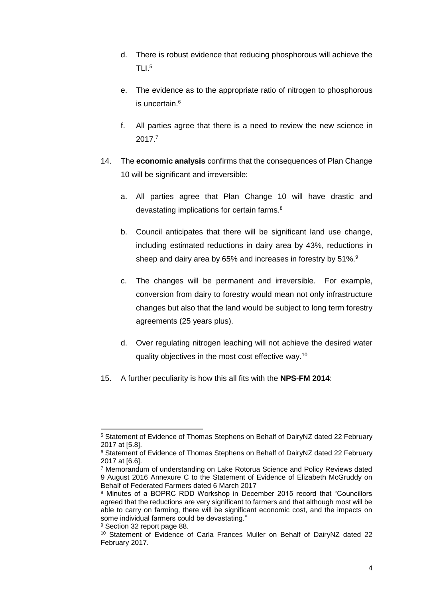- d. There is robust evidence that reducing phosphorous will achieve the  $TLI.<sup>5</sup>$
- e. The evidence as to the appropriate ratio of nitrogen to phosphorous is uncertain.<sup>6</sup>
- f. All parties agree that there is a need to review the new science in 2017.<sup>7</sup>
- 14. The **economic analysis** confirms that the consequences of Plan Change 10 will be significant and irreversible:
	- a. All parties agree that Plan Change 10 will have drastic and devastating implications for certain farms.<sup>8</sup>
	- b. Council anticipates that there will be significant land use change, including estimated reductions in dairy area by 43%, reductions in sheep and dairy area by 65% and increases in forestry by 51%.<sup>9</sup>
	- c. The changes will be permanent and irreversible. For example, conversion from dairy to forestry would mean not only infrastructure changes but also that the land would be subject to long term forestry agreements (25 years plus).
	- d. Over regulating nitrogen leaching will not achieve the desired water quality objectives in the most cost effective way.<sup>10</sup>
- 15. A further peculiarity is how this all fits with the **NPS-FM 2014**:

1

<sup>5</sup> Statement of Evidence of Thomas Stephens on Behalf of DairyNZ dated 22 February 2017 at [5.8].

<sup>6</sup> Statement of Evidence of Thomas Stephens on Behalf of DairyNZ dated 22 February 2017 at [6.6].

<sup>7</sup> Memorandum of understanding on Lake Rotorua Science and Policy Reviews dated 9 August 2016 Annexure C to the Statement of Evidence of Elizabeth McGruddy on Behalf of Federated Farmers dated 6 March 2017

<sup>8</sup> Minutes of a BOPRC RDD Workshop in December 2015 record that "Councillors agreed that the reductions are very significant to farmers and that although most will be able to carry on farming, there will be significant economic cost, and the impacts on some individual farmers could be devastating."

<sup>9</sup> Section 32 report page 88.

<sup>10</sup> Statement of Evidence of Carla Frances Muller on Behalf of DairyNZ dated 22 February 2017.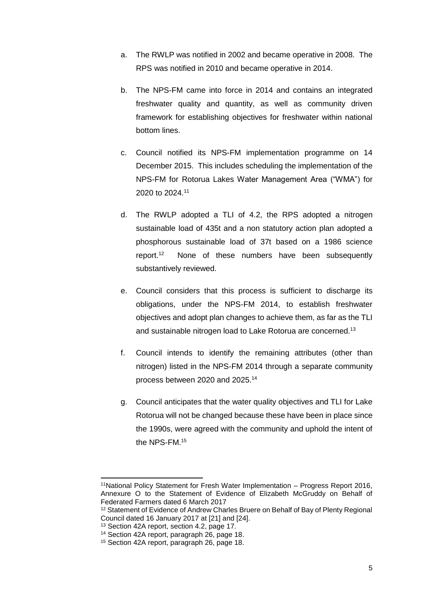- a. The RWLP was notified in 2002 and became operative in 2008. The RPS was notified in 2010 and became operative in 2014.
- b. The NPS-FM came into force in 2014 and contains an integrated freshwater quality and quantity, as well as community driven framework for establishing objectives for freshwater within national bottom lines.
- c. Council notified its NPS-FM implementation programme on 14 December 2015. This includes scheduling the implementation of the NPS-FM for Rotorua Lakes Water Management Area ("WMA") for 2020 to 2024.<sup>11</sup>
- d. The RWLP adopted a TLI of 4.2, the RPS adopted a nitrogen sustainable load of 435t and a non statutory action plan adopted a phosphorous sustainable load of 37t based on a 1986 science report.<sup>12</sup> None of these numbers have been subsequently substantively reviewed.
- e. Council considers that this process is sufficient to discharge its obligations, under the NPS-FM 2014, to establish freshwater objectives and adopt plan changes to achieve them, as far as the TLI and sustainable nitrogen load to Lake Rotorua are concerned.<sup>13</sup>
- f. Council intends to identify the remaining attributes (other than nitrogen) listed in the NPS-FM 2014 through a separate community process between 2020 and 2025.<sup>14</sup>
- g. Council anticipates that the water quality objectives and TLI for Lake Rotorua will not be changed because these have been in place since the 1990s, were agreed with the community and uphold the intent of the NPS-FM.<sup>15</sup>

<sup>1</sup> <sup>11</sup>National Policy Statement for Fresh Water Implementation – Progress Report 2016, Annexure O to the Statement of Evidence of Elizabeth McGruddy on Behalf of Federated Farmers dated 6 March 2017

<sup>&</sup>lt;sup>12</sup> Statement of Evidence of Andrew Charles Bruere on Behalf of Bay of Plenty Regional Council dated 16 January 2017 at [21] and [24].

<sup>&</sup>lt;sup>13</sup> Section 42A report, section 4.2, page 17.

<sup>14</sup> Section 42A report, paragraph 26, page 18.

<sup>15</sup> Section 42A report, paragraph 26, page 18.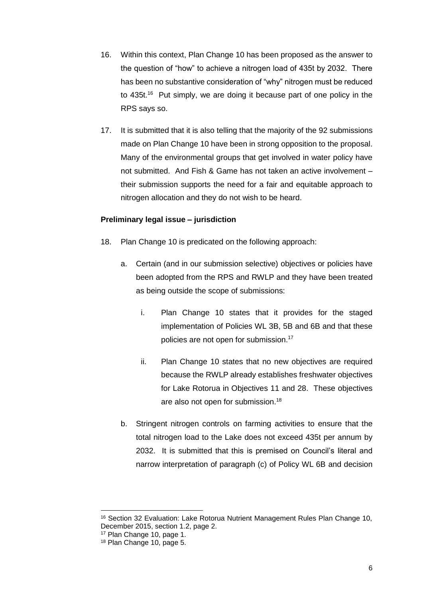- 16. Within this context, Plan Change 10 has been proposed as the answer to the question of "how" to achieve a nitrogen load of 435t by 2032. There has been no substantive consideration of "why" nitrogen must be reduced to 435t.<sup>16</sup> Put simply, we are doing it because part of one policy in the RPS says so.
- 17. It is submitted that it is also telling that the majority of the 92 submissions made on Plan Change 10 have been in strong opposition to the proposal. Many of the environmental groups that get involved in water policy have not submitted. And Fish & Game has not taken an active involvement – their submission supports the need for a fair and equitable approach to nitrogen allocation and they do not wish to be heard.

# **Preliminary legal issue – jurisdiction**

- 18. Plan Change 10 is predicated on the following approach:
	- a. Certain (and in our submission selective) objectives or policies have been adopted from the RPS and RWLP and they have been treated as being outside the scope of submissions:
		- i. Plan Change 10 states that it provides for the staged implementation of Policies WL 3B, 5B and 6B and that these policies are not open for submission.<sup>17</sup>
		- ii. Plan Change 10 states that no new objectives are required because the RWLP already establishes freshwater objectives for Lake Rotorua in Objectives 11 and 28. These objectives are also not open for submission.<sup>18</sup>
	- b. Stringent nitrogen controls on farming activities to ensure that the total nitrogen load to the Lake does not exceed 435t per annum by 2032. It is submitted that this is premised on Council's literal and narrow interpretation of paragraph (c) of Policy WL 6B and decision

<sup>16</sup> Section 32 Evaluation: Lake Rotorua Nutrient Management Rules Plan Change 10, December 2015, section 1.2, page 2.

<sup>17</sup> Plan Change 10, page 1.

<sup>18</sup> Plan Change 10, page 5.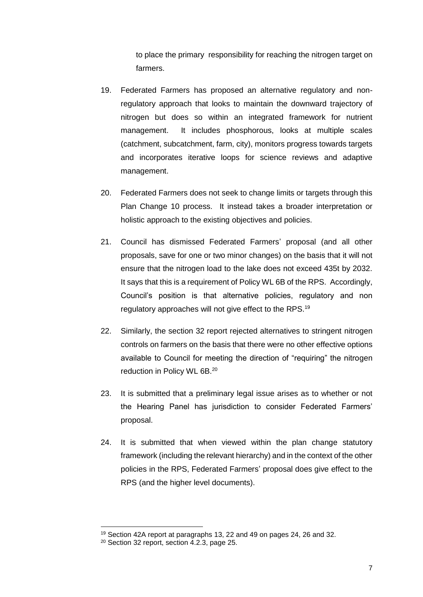to place the primary responsibility for reaching the nitrogen target on farmers.

- 19. Federated Farmers has proposed an alternative regulatory and nonregulatory approach that looks to maintain the downward trajectory of nitrogen but does so within an integrated framework for nutrient management. It includes phosphorous, looks at multiple scales (catchment, subcatchment, farm, city), monitors progress towards targets and incorporates iterative loops for science reviews and adaptive management.
- 20. Federated Farmers does not seek to change limits or targets through this Plan Change 10 process. It instead takes a broader interpretation or holistic approach to the existing objectives and policies.
- 21. Council has dismissed Federated Farmers' proposal (and all other proposals, save for one or two minor changes) on the basis that it will not ensure that the nitrogen load to the lake does not exceed 435t by 2032. It says that this is a requirement of Policy WL 6B of the RPS. Accordingly, Council's position is that alternative policies, regulatory and non regulatory approaches will not give effect to the RPS.<sup>19</sup>
- 22. Similarly, the section 32 report rejected alternatives to stringent nitrogen controls on farmers on the basis that there were no other effective options available to Council for meeting the direction of "requiring" the nitrogen reduction in Policy WL 6B.<sup>20</sup>
- 23. It is submitted that a preliminary legal issue arises as to whether or not the Hearing Panel has jurisdiction to consider Federated Farmers' proposal.
- 24. It is submitted that when viewed within the plan change statutory framework (including the relevant hierarchy) and in the context of the other policies in the RPS, Federated Farmers' proposal does give effect to the RPS (and the higher level documents).

1

<sup>19</sup> Section 42A report at paragraphs 13, 22 and 49 on pages 24, 26 and 32.

<sup>20</sup> Section 32 report, section 4.2.3, page 25.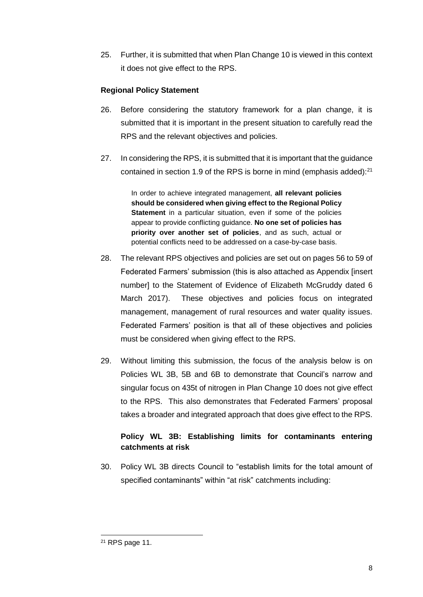25. Further, it is submitted that when Plan Change 10 is viewed in this context it does not give effect to the RPS.

# **Regional Policy Statement**

- 26. Before considering the statutory framework for a plan change, it is submitted that it is important in the present situation to carefully read the RPS and the relevant objectives and policies.
- 27. In considering the RPS, it is submitted that it is important that the guidance contained in section 1.9 of the RPS is borne in mind (emphasis added): $21$

In order to achieve integrated management, **all relevant policies should be considered when giving effect to the Regional Policy Statement** in a particular situation, even if some of the policies appear to provide conflicting guidance. **No one set of policies has priority over another set of policies**, and as such, actual or potential conflicts need to be addressed on a case-by-case basis.

- 28. The relevant RPS objectives and policies are set out on pages 56 to 59 of Federated Farmers' submission (this is also attached as Appendix [insert number] to the Statement of Evidence of Elizabeth McGruddy dated 6 March 2017). These objectives and policies focus on integrated management, management of rural resources and water quality issues. Federated Farmers' position is that all of these objectives and policies must be considered when giving effect to the RPS.
- 29. Without limiting this submission, the focus of the analysis below is on Policies WL 3B, 5B and 6B to demonstrate that Council's narrow and singular focus on 435t of nitrogen in Plan Change 10 does not give effect to the RPS. This also demonstrates that Federated Farmers' proposal takes a broader and integrated approach that does give effect to the RPS.

# **Policy WL 3B: Establishing limits for contaminants entering catchments at risk**

30. Policy WL 3B directs Council to "establish limits for the total amount of specified contaminants" within "at risk" catchments including:

<sup>1</sup> <sup>21</sup> RPS page 11.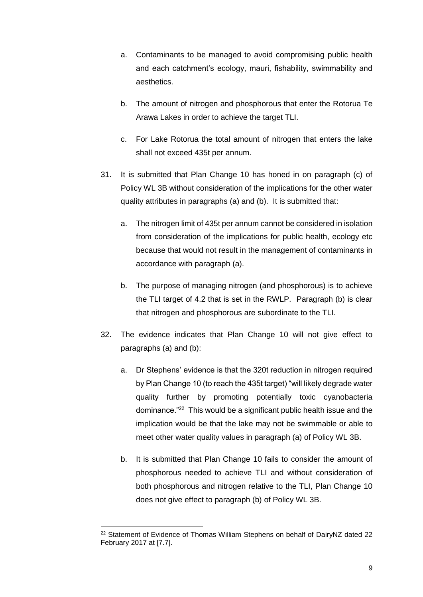- a. Contaminants to be managed to avoid compromising public health and each catchment's ecology, mauri, fishability, swimmability and aesthetics.
- b. The amount of nitrogen and phosphorous that enter the Rotorua Te Arawa Lakes in order to achieve the target TLI.
- c. For Lake Rotorua the total amount of nitrogen that enters the lake shall not exceed 435t per annum.
- 31. It is submitted that Plan Change 10 has honed in on paragraph (c) of Policy WL 3B without consideration of the implications for the other water quality attributes in paragraphs (a) and (b). It is submitted that:
	- a. The nitrogen limit of 435t per annum cannot be considered in isolation from consideration of the implications for public health, ecology etc because that would not result in the management of contaminants in accordance with paragraph (a).
	- b. The purpose of managing nitrogen (and phosphorous) is to achieve the TLI target of 4.2 that is set in the RWLP. Paragraph (b) is clear that nitrogen and phosphorous are subordinate to the TLI.
- 32. The evidence indicates that Plan Change 10 will not give effect to paragraphs (a) and (b):
	- a. Dr Stephens' evidence is that the 320t reduction in nitrogen required by Plan Change 10 (to reach the 435t target) "will likely degrade water quality further by promoting potentially toxic cyanobacteria dominance."<sup>22</sup> This would be a significant public health issue and the implication would be that the lake may not be swimmable or able to meet other water quality values in paragraph (a) of Policy WL 3B.
	- b. It is submitted that Plan Change 10 fails to consider the amount of phosphorous needed to achieve TLI and without consideration of both phosphorous and nitrogen relative to the TLI, Plan Change 10 does not give effect to paragraph (b) of Policy WL 3B.

<sup>1</sup> <sup>22</sup> Statement of Evidence of Thomas William Stephens on behalf of DairyNZ dated 22 February 2017 at [7.7].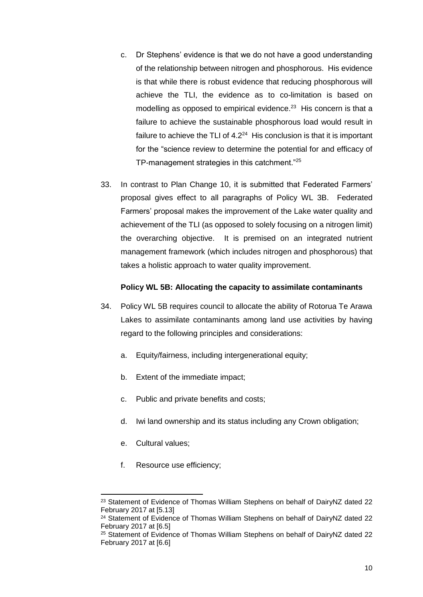- c. Dr Stephens' evidence is that we do not have a good understanding of the relationship between nitrogen and phosphorous. His evidence is that while there is robust evidence that reducing phosphorous will achieve the TLI, the evidence as to co-limitation is based on modelling as opposed to empirical evidence.<sup>23</sup> His concern is that a failure to achieve the sustainable phosphorous load would result in failure to achieve the TLI of  $4.2<sup>24</sup>$  His conclusion is that it is important for the "science review to determine the potential for and efficacy of TP-management strategies in this catchment."<sup>25</sup>
- 33. In contrast to Plan Change 10, it is submitted that Federated Farmers' proposal gives effect to all paragraphs of Policy WL 3B. Federated Farmers' proposal makes the improvement of the Lake water quality and achievement of the TLI (as opposed to solely focusing on a nitrogen limit) the overarching objective. It is premised on an integrated nutrient management framework (which includes nitrogen and phosphorous) that takes a holistic approach to water quality improvement.

### **Policy WL 5B: Allocating the capacity to assimilate contaminants**

- 34. Policy WL 5B requires council to allocate the ability of Rotorua Te Arawa Lakes to assimilate contaminants among land use activities by having regard to the following principles and considerations:
	- a. Equity/fairness, including intergenerational equity;
	- b. Extent of the immediate impact;
	- c. Public and private benefits and costs;
	- d. Iwi land ownership and its status including any Crown obligation;
	- e. Cultural values;

-

f. Resource use efficiency;

<sup>&</sup>lt;sup>23</sup> Statement of Evidence of Thomas William Stephens on behalf of DairyNZ dated 22 February 2017 at [5.13]

<sup>&</sup>lt;sup>24</sup> Statement of Evidence of Thomas William Stephens on behalf of DairyNZ dated 22 February 2017 at [6.5]

<sup>&</sup>lt;sup>25</sup> Statement of Evidence of Thomas William Stephens on behalf of DairyNZ dated 22 February 2017 at [6.6]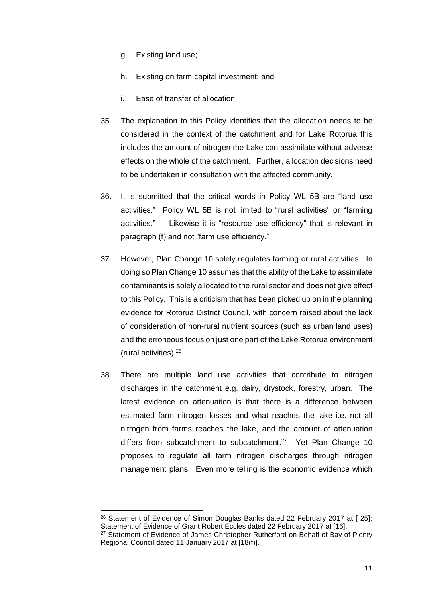- g. Existing land use;
- h. Existing on farm capital investment; and
- i. Ease of transfer of allocation.
- 35. The explanation to this Policy identifies that the allocation needs to be considered in the context of the catchment and for Lake Rotorua this includes the amount of nitrogen the Lake can assimilate without adverse effects on the whole of the catchment. Further, allocation decisions need to be undertaken in consultation with the affected community.
- 36. It is submitted that the critical words in Policy WL 5B are "land use activities." Policy WL 5B is not limited to "rural activities" or "farming activities." Likewise it is "resource use efficiency" that is relevant in paragraph (f) and not "farm use efficiency."
- 37. However, Plan Change 10 solely regulates farming or rural activities. In doing so Plan Change 10 assumes that the ability of the Lake to assimilate contaminants is solely allocated to the rural sector and does not give effect to this Policy. This is a criticism that has been picked up on in the planning evidence for Rotorua District Council, with concern raised about the lack of consideration of non-rural nutrient sources (such as urban land uses) and the erroneous focus on just one part of the Lake Rotorua environment (rural activities).<sup>26</sup>
- 38. There are multiple land use activities that contribute to nitrogen discharges in the catchment e.g. dairy, drystock, forestry, urban. The latest evidence on attenuation is that there is a difference between estimated farm nitrogen losses and what reaches the lake i.e. not all nitrogen from farms reaches the lake, and the amount of attenuation differs from subcatchment to subcatchment.<sup>27</sup> Yet Plan Change 10 proposes to regulate all farm nitrogen discharges through nitrogen management plans. Even more telling is the economic evidence which

<sup>&</sup>lt;sup>26</sup> Statement of Evidence of Simon Douglas Banks dated 22 February 2017 at [ 25]; Statement of Evidence of Grant Robert Eccles dated 22 February 2017 at [16].

<sup>&</sup>lt;sup>27</sup> Statement of Evidence of James Christopher Rutherford on Behalf of Bay of Plenty Regional Council dated 11 January 2017 at [18(f)].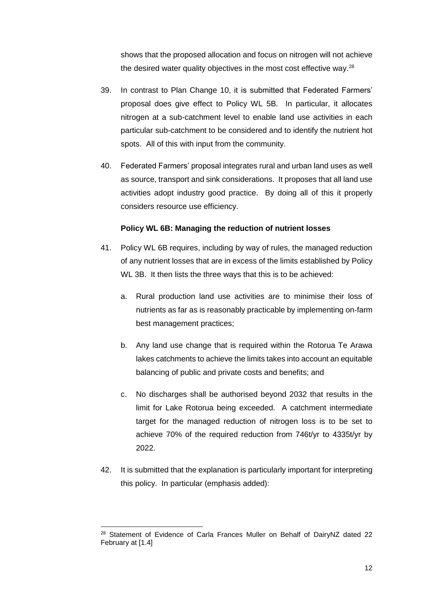shows that the proposed allocation and focus on nitrogen will not achieve the desired water quality objectives in the most cost effective way.<sup>28</sup>

- 39. In contrast to Plan Change 10, it is submitted that Federated Farmers' proposal does give effect to Policy WL 5B. In particular, it allocates nitrogen at a sub-catchment level to enable land use activities in each particular sub-catchment to be considered and to identify the nutrient hot spots. All of this with input from the community.
- 40. Federated Farmers' proposal integrates rural and urban land uses as well as source, transport and sink considerations. It proposes that all land use activities adopt industry good practice. By doing all of this it properly considers resource use efficiency.

### **Policy WL 6B: Managing the reduction of nutrient losses**

- 41. Policy WL 6B requires, including by way of rules, the managed reduction of any nutrient losses that are in excess of the limits established by Policy WL 3B. It then lists the three ways that this is to be achieved:
	- a. Rural production land use activities are to minimise their loss of nutrients as far as is reasonably practicable by implementing on-farm best management practices;
	- b. Any land use change that is required within the Rotorua Te Arawa lakes catchments to achieve the limits takes into account an equitable balancing of public and private costs and benefits; and
	- c. No discharges shall be authorised beyond 2032 that results in the limit for Lake Rotorua being exceeded. A catchment intermediate target for the managed reduction of nitrogen loss is to be set to achieve 70% of the required reduction from 746t/yr to 4335t/yr by 2022.
- 42. It is submitted that the explanation is particularly important for interpreting this policy. In particular (emphasis added):

<sup>1</sup> <sup>28</sup> Statement of Evidence of Carla Frances Muller on Behalf of DairyNZ dated 22 February at [1.4]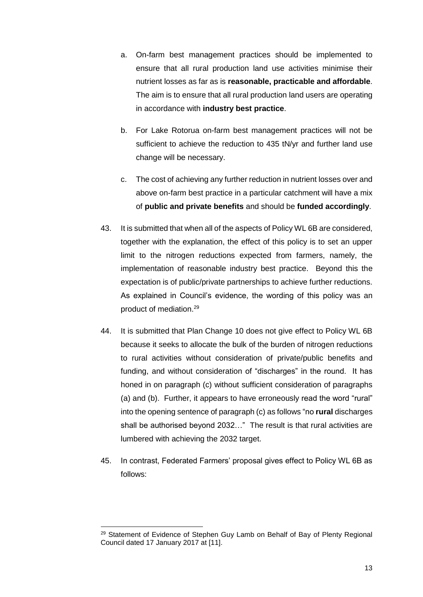- a. On-farm best management practices should be implemented to ensure that all rural production land use activities minimise their nutrient losses as far as is **reasonable, practicable and affordable**. The aim is to ensure that all rural production land users are operating in accordance with **industry best practice**.
- b. For Lake Rotorua on-farm best management practices will not be sufficient to achieve the reduction to 435 tN/yr and further land use change will be necessary.
- c. The cost of achieving any further reduction in nutrient losses over and above on-farm best practice in a particular catchment will have a mix of **public and private benefits** and should be **funded accordingly**.
- 43. It is submitted that when all of the aspects of Policy WL 6B are considered, together with the explanation, the effect of this policy is to set an upper limit to the nitrogen reductions expected from farmers, namely, the implementation of reasonable industry best practice. Beyond this the expectation is of public/private partnerships to achieve further reductions. As explained in Council's evidence, the wording of this policy was an product of mediation.<sup>29</sup>
- 44. It is submitted that Plan Change 10 does not give effect to Policy WL 6B because it seeks to allocate the bulk of the burden of nitrogen reductions to rural activities without consideration of private/public benefits and funding, and without consideration of "discharges" in the round. It has honed in on paragraph (c) without sufficient consideration of paragraphs (a) and (b). Further, it appears to have erroneously read the word "rural" into the opening sentence of paragraph (c) as follows "no **rural** discharges shall be authorised beyond 2032…" The result is that rural activities are lumbered with achieving the 2032 target.
- 45. In contrast, Federated Farmers' proposal gives effect to Policy WL 6B as follows:

<sup>1</sup> <sup>29</sup> Statement of Evidence of Stephen Guy Lamb on Behalf of Bay of Plenty Regional Council dated 17 January 2017 at [11].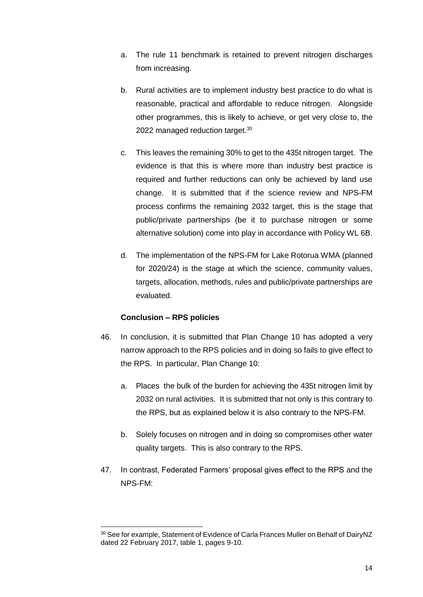- a. The rule 11 benchmark is retained to prevent nitrogen discharges from increasing.
- b. Rural activities are to implement industry best practice to do what is reasonable, practical and affordable to reduce nitrogen. Alongside other programmes, this is likely to achieve, or get very close to, the 2022 managed reduction target.<sup>30</sup>
- c. This leaves the remaining 30% to get to the 435t nitrogen target. The evidence is that this is where more than industry best practice is required and further reductions can only be achieved by land use change. It is submitted that if the science review and NPS-FM process confirms the remaining 2032 target, this is the stage that public/private partnerships (be it to purchase nitrogen or some alternative solution) come into play in accordance with Policy WL 6B.
- d. The implementation of the NPS-FM for Lake Rotorua WMA (planned for 2020/24) is the stage at which the science, community values, targets, allocation, methods, rules and public/private partnerships are evaluated.

### **Conclusion – RPS policies**

- 46. In conclusion, it is submitted that Plan Change 10 has adopted a very narrow approach to the RPS policies and in doing so fails to give effect to the RPS. In particular, Plan Change 10:
	- a. Places the bulk of the burden for achieving the 435t nitrogen limit by 2032 on rural activities. It is submitted that not only is this contrary to the RPS, but as explained below it is also contrary to the NPS-FM.
	- b. Solely focuses on nitrogen and in doing so compromises other water quality targets. This is also contrary to the RPS.
- 47. In contrast, Federated Farmers' proposal gives effect to the RPS and the NPS-FM:

<sup>1</sup> <sup>30</sup> See for example, Statement of Evidence of Carla Frances Muller on Behalf of DairyNZ dated 22 February 2017, table 1, pages 9-10.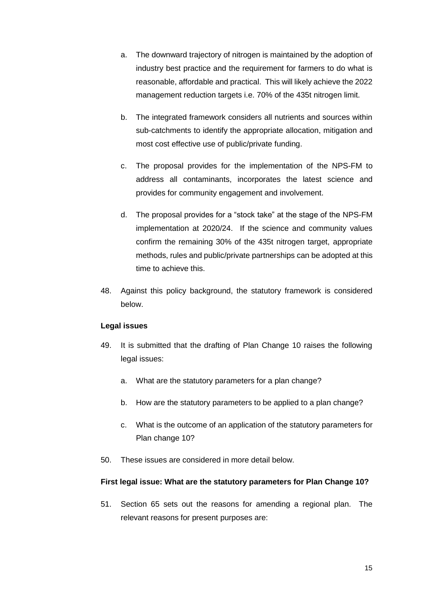- a. The downward trajectory of nitrogen is maintained by the adoption of industry best practice and the requirement for farmers to do what is reasonable, affordable and practical. This will likely achieve the 2022 management reduction targets i.e. 70% of the 435t nitrogen limit.
- b. The integrated framework considers all nutrients and sources within sub-catchments to identify the appropriate allocation, mitigation and most cost effective use of public/private funding.
- c. The proposal provides for the implementation of the NPS-FM to address all contaminants, incorporates the latest science and provides for community engagement and involvement.
- d. The proposal provides for a "stock take" at the stage of the NPS-FM implementation at 2020/24. If the science and community values confirm the remaining 30% of the 435t nitrogen target, appropriate methods, rules and public/private partnerships can be adopted at this time to achieve this.
- 48. Against this policy background, the statutory framework is considered below.

### **Legal issues**

- 49. It is submitted that the drafting of Plan Change 10 raises the following legal issues:
	- a. What are the statutory parameters for a plan change?
	- b. How are the statutory parameters to be applied to a plan change?
	- c. What is the outcome of an application of the statutory parameters for Plan change 10?
- 50. These issues are considered in more detail below.

# **First legal issue: What are the statutory parameters for Plan Change 10?**

51. Section 65 sets out the reasons for amending a regional plan. The relevant reasons for present purposes are: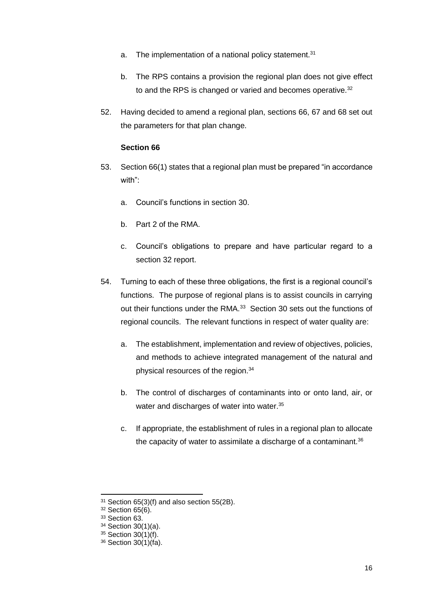- a. The implementation of a national policy statement.<sup>31</sup>
- b. The RPS contains a provision the regional plan does not give effect to and the RPS is changed or varied and becomes operative.<sup>32</sup>
- 52. Having decided to amend a regional plan, sections 66, 67 and 68 set out the parameters for that plan change.

# **Section 66**

- 53. Section 66(1) states that a regional plan must be prepared "in accordance with":
	- a. Council's functions in section 30.
	- b. Part 2 of the RMA.
	- c. Council's obligations to prepare and have particular regard to a section 32 report.
- 54. Turning to each of these three obligations, the first is a regional council's functions. The purpose of regional plans is to assist councils in carrying out their functions under the RMA.<sup>33</sup> Section 30 sets out the functions of regional councils. The relevant functions in respect of water quality are:
	- a. The establishment, implementation and review of objectives, policies, and methods to achieve integrated management of the natural and physical resources of the region.<sup>34</sup>
	- b. The control of discharges of contaminants into or onto land, air, or water and discharges of water into water.<sup>35</sup>
	- c. If appropriate, the establishment of rules in a regional plan to allocate the capacity of water to assimilate a discharge of a contaminant. $36$

<sup>&</sup>lt;sup>31</sup> Section 65(3)(f) and also section 55(2B).

<sup>32</sup> Section 65(6).

<sup>&</sup>lt;sup>33</sup> Section 63.

<sup>34</sup> Section 30(1)(a).

 $35$  Section  $30(1)(f)$ .

 $36$  Section  $30(1)(fa)$ .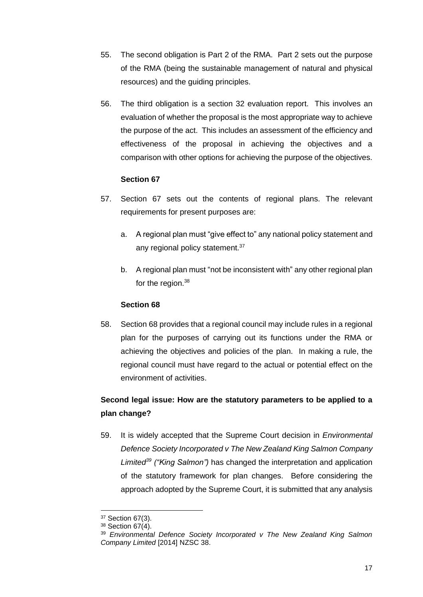- 55. The second obligation is Part 2 of the RMA. Part 2 sets out the purpose of the RMA (being the sustainable management of natural and physical resources) and the guiding principles.
- 56. The third obligation is a section 32 evaluation report. This involves an evaluation of whether the proposal is the most appropriate way to achieve the purpose of the act. This includes an assessment of the efficiency and effectiveness of the proposal in achieving the objectives and a comparison with other options for achieving the purpose of the objectives.

# **Section 67**

- 57. Section 67 sets out the contents of regional plans. The relevant requirements for present purposes are:
	- a. A regional plan must "give effect to" any national policy statement and any regional policy statement.<sup>37</sup>
	- b. A regional plan must "not be inconsistent with" any other regional plan for the region.<sup>38</sup>

# **Section 68**

58. Section 68 provides that a regional council may include rules in a regional plan for the purposes of carrying out its functions under the RMA or achieving the objectives and policies of the plan. In making a rule, the regional council must have regard to the actual or potential effect on the environment of activities.

# **Second legal issue: How are the statutory parameters to be applied to a plan change?**

59. It is widely accepted that the Supreme Court decision in *Environmental Defence Society Incorporated v The New Zealand King Salmon Company Limited<sup>39</sup> ("King Salmon")* has changed the interpretation and application of the statutory framework for plan changes. Before considering the approach adopted by the Supreme Court, it is submitted that any analysis

<sup>37</sup> Section 67(3).

<sup>38</sup> Section 67(4).

<sup>39</sup> *Environmental Defence Society Incorporated v The New Zealand King Salmon Company Limited* [2014] NZSC 38.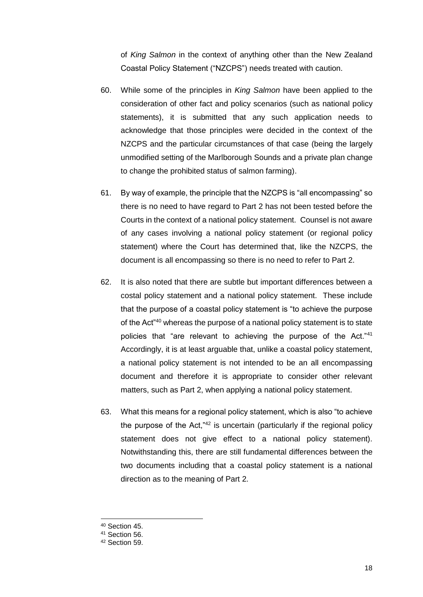of *King Salmon* in the context of anything other than the New Zealand Coastal Policy Statement ("NZCPS") needs treated with caution.

- 60. While some of the principles in *King Salmon* have been applied to the consideration of other fact and policy scenarios (such as national policy statements), it is submitted that any such application needs to acknowledge that those principles were decided in the context of the NZCPS and the particular circumstances of that case (being the largely unmodified setting of the Marlborough Sounds and a private plan change to change the prohibited status of salmon farming).
- 61. By way of example, the principle that the NZCPS is "all encompassing" so there is no need to have regard to Part 2 has not been tested before the Courts in the context of a national policy statement. Counsel is not aware of any cases involving a national policy statement (or regional policy statement) where the Court has determined that, like the NZCPS, the document is all encompassing so there is no need to refer to Part 2.
- 62. It is also noted that there are subtle but important differences between a costal policy statement and a national policy statement. These include that the purpose of a coastal policy statement is "to achieve the purpose of the Act"<sup>40</sup> whereas the purpose of a national policy statement is to state policies that "are relevant to achieving the purpose of the Act."41 Accordingly, it is at least arguable that, unlike a coastal policy statement, a national policy statement is not intended to be an all encompassing document and therefore it is appropriate to consider other relevant matters, such as Part 2, when applying a national policy statement.
- 63. What this means for a regional policy statement, which is also "to achieve the purpose of the Act,"<sup>42</sup> is uncertain (particularly if the regional policy statement does not give effect to a national policy statement). Notwithstanding this, there are still fundamental differences between the two documents including that a coastal policy statement is a national direction as to the meaning of Part 2.

<sup>40</sup> Section 45.

<sup>41</sup> Section 56.

<sup>42</sup> Section 59.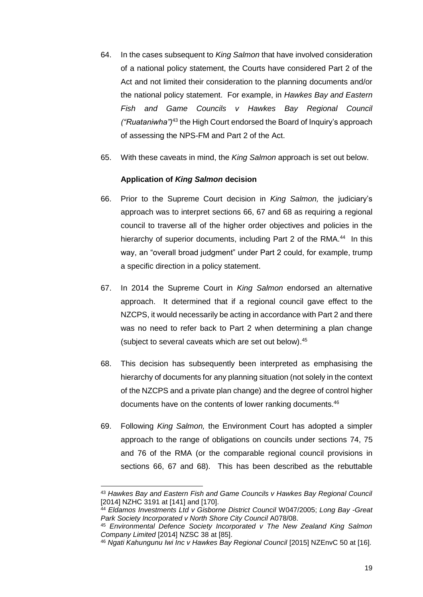- 64. In the cases subsequent to *King Salmon* that have involved consideration of a national policy statement, the Courts have considered Part 2 of the Act and not limited their consideration to the planning documents and/or the national policy statement. For example, in *Hawkes Bay and Eastern Fish and Game Councils v Hawkes Bay Regional Council ("Ruataniwha")*<sup>43</sup> the High Court endorsed the Board of Inquiry's approach of assessing the NPS-FM and Part 2 of the Act.
- 65. With these caveats in mind, the *King Salmon* approach is set out below.

# **Application of** *King Salmon* **decision**

- 66. Prior to the Supreme Court decision in *King Salmon,* the judiciary's approach was to interpret sections 66, 67 and 68 as requiring a regional council to traverse all of the higher order objectives and policies in the hierarchy of superior documents, including Part 2 of the RMA.<sup>44</sup> In this way, an "overall broad judgment" under Part 2 could, for example, trump a specific direction in a policy statement.
- 67. In 2014 the Supreme Court in *King Salmon* endorsed an alternative approach. It determined that if a regional council gave effect to the NZCPS, it would necessarily be acting in accordance with Part 2 and there was no need to refer back to Part 2 when determining a plan change (subject to several caveats which are set out below). 45
- 68. This decision has subsequently been interpreted as emphasising the hierarchy of documents for any planning situation (not solely in the context of the NZCPS and a private plan change) and the degree of control higher documents have on the contents of lower ranking documents.<sup>46</sup>
- 69. Following *King Salmon,* the Environment Court has adopted a simpler approach to the range of obligations on councils under sections 74, 75 and 76 of the RMA (or the comparable regional council provisions in sections 66, 67 and 68). This has been described as the rebuttable

<sup>1</sup> <sup>43</sup> *Hawkes Bay and Eastern Fish and Game Councils v Hawkes Bay Regional Council*  [2014] NZHC 3191 at [141] and [170].

<sup>44</sup> *Eldamos Investments Ltd v Gisborne District Council* W047/2005; *Long Bay -Great*  **Park Society Incorporated v North Shore City Council A078/08.** 

<sup>45</sup> *Environmental Defence Society Incorporated v The New Zealand King Salmon Company Limited* [2014] NZSC 38 at [85].

<sup>&</sup>lt;sup>46</sup> Ngati Kahungunu Iwi Inc v Hawkes Bay Regional Council [2015] NZEnvC 50 at [16].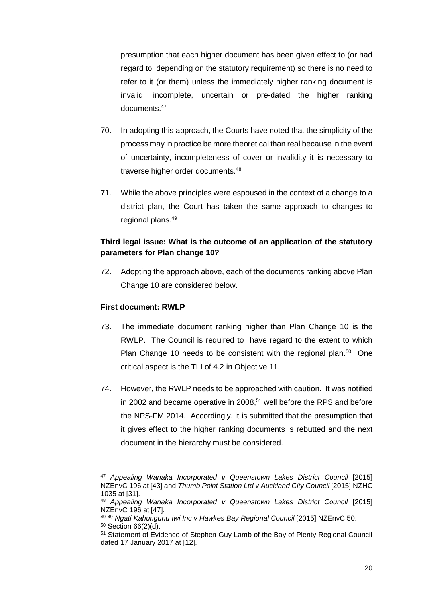presumption that each higher document has been given effect to (or had regard to, depending on the statutory requirement) so there is no need to refer to it (or them) unless the immediately higher ranking document is invalid, incomplete, uncertain or pre-dated the higher ranking documents. 47

- 70. In adopting this approach, the Courts have noted that the simplicity of the process may in practice be more theoretical than real because in the event of uncertainty, incompleteness of cover or invalidity it is necessary to traverse higher order documents.<sup>48</sup>
- 71. While the above principles were espoused in the context of a change to a district plan, the Court has taken the same approach to changes to regional plans.<sup>49</sup>

# **Third legal issue: What is the outcome of an application of the statutory parameters for Plan change 10?**

72. Adopting the approach above, each of the documents ranking above Plan Change 10 are considered below.

# **First document: RWLP**

 $\overline{a}$ 

- 73. The immediate document ranking higher than Plan Change 10 is the RWLP. The Council is required to have regard to the extent to which Plan Change 10 needs to be consistent with the regional plan. $50$  One critical aspect is the TLI of 4.2 in Objective 11.
- 74. However, the RWLP needs to be approached with caution. It was notified in 2002 and became operative in 2008, <sup>51</sup> well before the RPS and before the NPS-FM 2014. Accordingly, it is submitted that the presumption that it gives effect to the higher ranking documents is rebutted and the next document in the hierarchy must be considered.

<sup>47</sup> *Appealing Wanaka Incorporated v Queenstown Lakes District Council* [2015] NZEnvC 196 at [43] and *Thumb Point Station Ltd v Auckland City Council* [2015] NZHC 1035 at [31].

<sup>&</sup>lt;sup>48</sup> Appealing Wanaka Incorporated v Queenstown Lakes District Council [2015] NZEnvC 196 at [47].

<sup>49</sup> <sup>49</sup> *Ngati Kahungunu Iwi Inc v Hawkes Bay Regional Council* [2015] NZEnvC 50. <sup>50</sup> Section 66(2)(d).

<sup>51</sup> Statement of Evidence of Stephen Guy Lamb of the Bay of Plenty Regional Council dated 17 January 2017 at [12].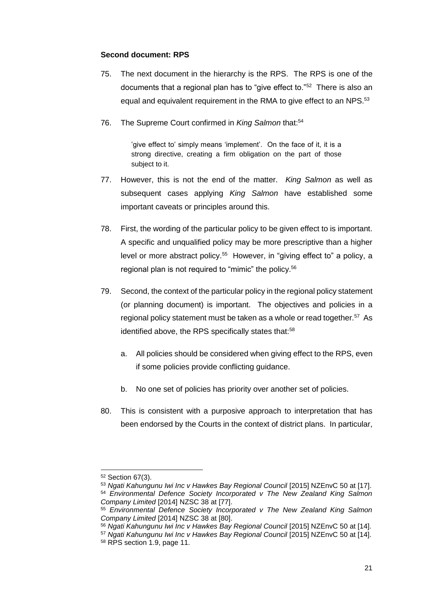### **Second document: RPS**

- 75. The next document in the hierarchy is the RPS. The RPS is one of the documents that a regional plan has to "give effect to."<sup>52</sup> There is also an equal and equivalent requirement in the RMA to give effect to an NPS.<sup>53</sup>
- 76. The Supreme Court confirmed in *King Salmon* that:<sup>54</sup>

'give effect to' simply means 'implement'. On the face of it, it is a strong directive, creating a firm obligation on the part of those subject to it.

- 77. However, this is not the end of the matter. *King Salmon* as well as subsequent cases applying *King Salmon* have established some important caveats or principles around this.
- 78. First, the wording of the particular policy to be given effect to is important. A specific and unqualified policy may be more prescriptive than a higher level or more abstract policy.<sup>55</sup> However, in "giving effect to" a policy, a regional plan is not required to "mimic" the policy.<sup>56</sup>
- 79. Second, the context of the particular policy in the regional policy statement (or planning document) is important. The objectives and policies in a regional policy statement must be taken as a whole or read together.<sup>57</sup> As identified above, the RPS specifically states that:<sup>58</sup>
	- a. All policies should be considered when giving effect to the RPS, even if some policies provide conflicting guidance.
	- b. No one set of policies has priority over another set of policies.
- 80. This is consistent with a purposive approach to interpretation that has been endorsed by the Courts in the context of district plans. In particular,

 $\overline{a}$ 

<sup>52</sup> Section 67(3).

<sup>53</sup> *Ngati Kahungunu Iwi Inc v Hawkes Bay Regional Council* [2015] NZEnvC 50 at [17]. <sup>54</sup> *Environmental Defence Society Incorporated v The New Zealand King Salmon Company Limited* [2014] NZSC 38 at [77].

<sup>55</sup> *Environmental Defence Society Incorporated v The New Zealand King Salmon Company Limited* [2014] NZSC 38 at [80].

<sup>56</sup> *Ngati Kahungunu Iwi Inc v Hawkes Bay Regional Council* [2015] NZEnvC 50 at [14].

<sup>57</sup> *Ngati Kahungunu Iwi Inc v Hawkes Bay Regional Council* [2015] NZEnvC 50 at [14]. <sup>58</sup> RPS section 1.9, page 11.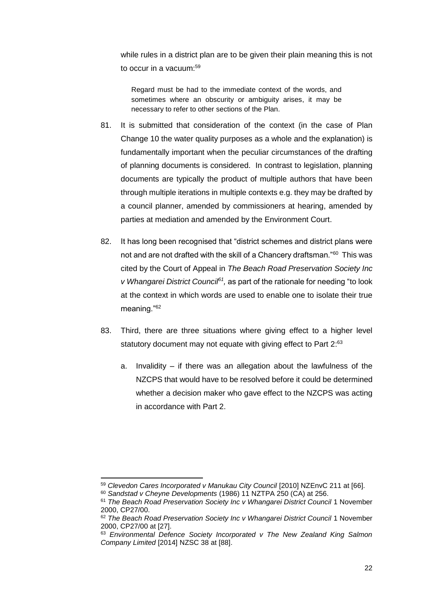while rules in a district plan are to be given their plain meaning this is not to occur in a vacuum:<sup>59</sup>

Regard must be had to the immediate context of the words, and sometimes where an obscurity or ambiguity arises, it may be necessary to refer to other sections of the Plan.

- 81. It is submitted that consideration of the context (in the case of Plan Change 10 the water quality purposes as a whole and the explanation) is fundamentally important when the peculiar circumstances of the drafting of planning documents is considered. In contrast to legislation, planning documents are typically the product of multiple authors that have been through multiple iterations in multiple contexts e.g. they may be drafted by a council planner, amended by commissioners at hearing, amended by parties at mediation and amended by the Environment Court.
- 82. It has long been recognised that "district schemes and district plans were not and are not drafted with the skill of a Chancery draftsman."<sup>60</sup> This was cited by the Court of Appeal in *The Beach Road Preservation Society Inc v Whangarei District Council<sup>61</sup> ,* as part of the rationale for needing "to look at the context in which words are used to enable one to isolate their true meaning."<sup>62</sup>
- 83. Third, there are three situations where giving effect to a higher level statutory document may not equate with giving effect to Part 2:<sup>63</sup>
	- a. Invalidity if there was an allegation about the lawfulness of the NZCPS that would have to be resolved before it could be determined whether a decision maker who gave effect to the NZCPS was acting in accordance with Part 2.

<sup>1</sup> <sup>59</sup> Clevedon Cares Incorporated v Manukau City Council [2010] NZEnvC 211 at [66].

<sup>60</sup> *Sandstad v Cheyne Developments* (1986) 11 NZTPA 250 (CA) at 256.

<sup>61</sup> *The Beach Road Preservation Society Inc v Whangarei District Council* 1 November 2000, CP27/00.

<sup>&</sup>lt;sup>62</sup> The Beach Road Preservation Society Inc v Whangarei District Council 1 November 2000, CP27/00 at [27].

<sup>63</sup> *Environmental Defence Society Incorporated v The New Zealand King Salmon Company Limited* [2014] NZSC 38 at [88].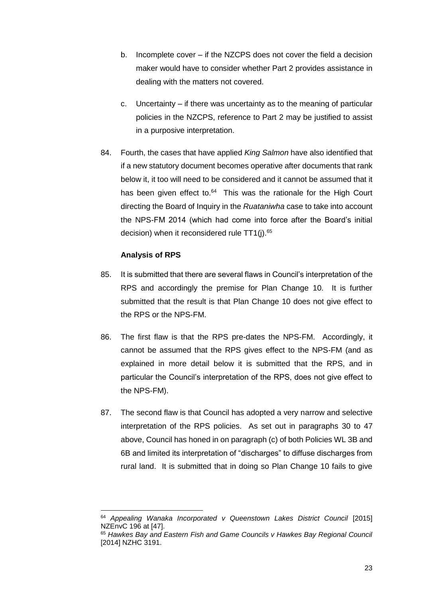- b. Incomplete cover if the NZCPS does not cover the field a decision maker would have to consider whether Part 2 provides assistance in dealing with the matters not covered.
- c. Uncertainty if there was uncertainty as to the meaning of particular policies in the NZCPS, reference to Part 2 may be justified to assist in a purposive interpretation.
- 84. Fourth, the cases that have applied *King Salmon* have also identified that if a new statutory document becomes operative after documents that rank below it, it too will need to be considered and it cannot be assumed that it has been given effect to.<sup>64</sup> This was the rationale for the High Court directing the Board of Inquiry in the *Ruataniwha* case to take into account the NPS-FM 2014 (which had come into force after the Board's initial decision) when it reconsidered rule TT1(j). $65$

# **Analysis of RPS**

- 85. It is submitted that there are several flaws in Council's interpretation of the RPS and accordingly the premise for Plan Change 10. It is further submitted that the result is that Plan Change 10 does not give effect to the RPS or the NPS-FM.
- 86. The first flaw is that the RPS pre-dates the NPS-FM. Accordingly, it cannot be assumed that the RPS gives effect to the NPS-FM (and as explained in more detail below it is submitted that the RPS, and in particular the Council's interpretation of the RPS, does not give effect to the NPS-FM).
- 87. The second flaw is that Council has adopted a very narrow and selective interpretation of the RPS policies. As set out in paragraphs 30 to 47 above, Council has honed in on paragraph (c) of both Policies WL 3B and 6B and limited its interpretation of "discharges" to diffuse discharges from rural land. It is submitted that in doing so Plan Change 10 fails to give

<sup>64</sup> *Appealing Wanaka Incorporated v Queenstown Lakes District Council* [2015] NZEnvC 196 at [47].

<sup>65</sup> *Hawkes Bay and Eastern Fish and Game Councils v Hawkes Bay Regional Council*  [2014] NZHC 3191.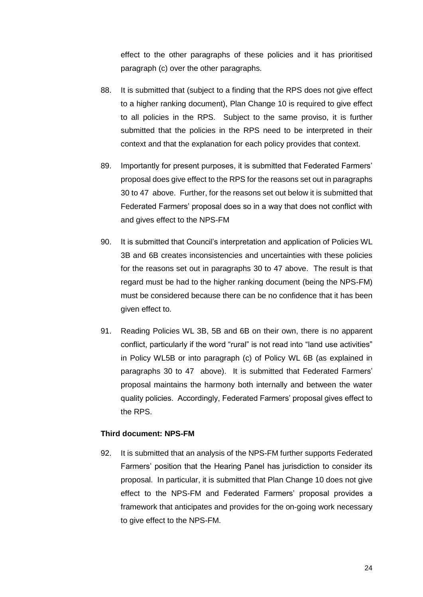effect to the other paragraphs of these policies and it has prioritised paragraph (c) over the other paragraphs.

- 88. It is submitted that (subject to a finding that the RPS does not give effect to a higher ranking document), Plan Change 10 is required to give effect to all policies in the RPS. Subject to the same proviso, it is further submitted that the policies in the RPS need to be interpreted in their context and that the explanation for each policy provides that context.
- 89. Importantly for present purposes, it is submitted that Federated Farmers' proposal does give effect to the RPS for the reasons set out in paragraphs 30 to 47 above. Further, for the reasons set out below it is submitted that Federated Farmers' proposal does so in a way that does not conflict with and gives effect to the NPS-FM
- 90. It is submitted that Council's interpretation and application of Policies WL 3B and 6B creates inconsistencies and uncertainties with these policies for the reasons set out in paragraphs 30 to 47 above. The result is that regard must be had to the higher ranking document (being the NPS-FM) must be considered because there can be no confidence that it has been given effect to.
- 91. Reading Policies WL 3B, 5B and 6B on their own, there is no apparent conflict, particularly if the word "rural" is not read into "land use activities" in Policy WL5B or into paragraph (c) of Policy WL 6B (as explained in paragraphs 30 to 47 above). It is submitted that Federated Farmers' proposal maintains the harmony both internally and between the water quality policies. Accordingly, Federated Farmers' proposal gives effect to the RPS.

# **Third document: NPS-FM**

92. It is submitted that an analysis of the NPS-FM further supports Federated Farmers' position that the Hearing Panel has jurisdiction to consider its proposal. In particular, it is submitted that Plan Change 10 does not give effect to the NPS-FM and Federated Farmers' proposal provides a framework that anticipates and provides for the on-going work necessary to give effect to the NPS-FM.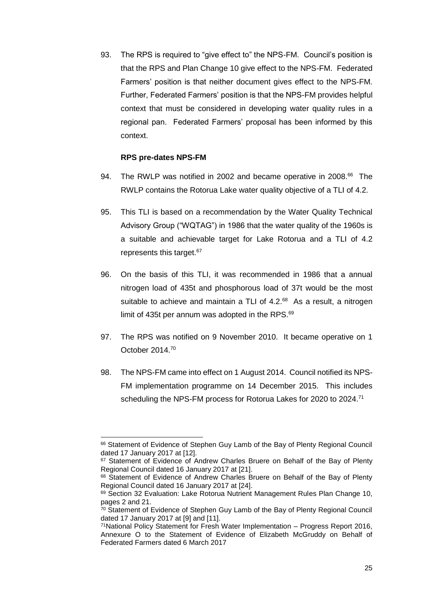93. The RPS is required to "give effect to" the NPS-FM. Council's position is that the RPS and Plan Change 10 give effect to the NPS-FM. Federated Farmers' position is that neither document gives effect to the NPS-FM. Further, Federated Farmers' position is that the NPS-FM provides helpful context that must be considered in developing water quality rules in a regional pan. Federated Farmers' proposal has been informed by this context.

# **RPS pre-dates NPS-FM**

- 94. The RWLP was notified in 2002 and became operative in 2008.<sup>66</sup> The RWLP contains the Rotorua Lake water quality objective of a TLI of 4.2.
- 95. This TLI is based on a recommendation by the Water Quality Technical Advisory Group ("WQTAG") in 1986 that the water quality of the 1960s is a suitable and achievable target for Lake Rotorua and a TLI of 4.2 represents this target.<sup>67</sup>
- 96. On the basis of this TLI, it was recommended in 1986 that a annual nitrogen load of 435t and phosphorous load of 37t would be the most suitable to achieve and maintain a TLI of 4.2.<sup>68</sup> As a result, a nitrogen limit of 435t per annum was adopted in the RPS. $^{69}$
- 97. The RPS was notified on 9 November 2010. It became operative on 1 October 2014.<sup>70</sup>
- 98. The NPS-FM came into effect on 1 August 2014. Council notified its NPS-FM implementation programme on 14 December 2015. This includes scheduling the NPS-FM process for Rotorua Lakes for 2020 to 2024.<sup>71</sup>

<sup>-</sup><sup>66</sup> Statement of Evidence of Stephen Guy Lamb of the Bay of Plenty Regional Council dated 17 January 2017 at [12].

<sup>&</sup>lt;sup>67</sup> Statement of Evidence of Andrew Charles Bruere on Behalf of the Bay of Plenty Regional Council dated 16 January 2017 at [21].

<sup>68</sup> Statement of Evidence of Andrew Charles Bruere on Behalf of the Bay of Plenty Regional Council dated 16 January 2017 at [24].

<sup>69</sup> Section 32 Evaluation: Lake Rotorua Nutrient Management Rules Plan Change 10, pages 2 and 21.

<sup>70</sup> Statement of Evidence of Stephen Guy Lamb of the Bay of Plenty Regional Council dated 17 January 2017 at [9] and [11].

<sup>71</sup>National Policy Statement for Fresh Water Implementation – Progress Report 2016, Annexure O to the Statement of Evidence of Elizabeth McGruddy on Behalf of Federated Farmers dated 6 March 2017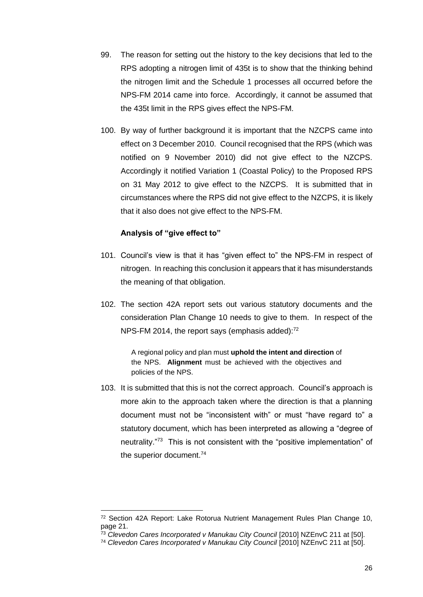- 99. The reason for setting out the history to the key decisions that led to the RPS adopting a nitrogen limit of 435t is to show that the thinking behind the nitrogen limit and the Schedule 1 processes all occurred before the NPS-FM 2014 came into force. Accordingly, it cannot be assumed that the 435t limit in the RPS gives effect the NPS-FM.
- 100. By way of further background it is important that the NZCPS came into effect on 3 December 2010. Council recognised that the RPS (which was notified on 9 November 2010) did not give effect to the NZCPS. Accordingly it notified Variation 1 (Coastal Policy) to the Proposed RPS on 31 May 2012 to give effect to the NZCPS. It is submitted that in circumstances where the RPS did not give effect to the NZCPS, it is likely that it also does not give effect to the NPS-FM.

### **Analysis of "give effect to"**

-

- 101. Council's view is that it has "given effect to" the NPS-FM in respect of nitrogen. In reaching this conclusion it appears that it has misunderstands the meaning of that obligation.
- 102. The section 42A report sets out various statutory documents and the consideration Plan Change 10 needs to give to them. In respect of the NPS-FM 2014, the report says (emphasis added):<sup>72</sup>

A regional policy and plan must **uphold the intent and direction** of the NPS. **Alignment** must be achieved with the objectives and policies of the NPS.

103. It is submitted that this is not the correct approach. Council's approach is more akin to the approach taken where the direction is that a planning document must not be "inconsistent with" or must "have regard to" a statutory document, which has been interpreted as allowing a "degree of neutrality."<sup>73</sup> This is not consistent with the "positive implementation" of the superior document.<sup>74</sup>

<sup>72</sup> Section 42A Report: Lake Rotorua Nutrient Management Rules Plan Change 10, page 21.

<sup>73</sup> *Clevedon Cares Incorporated v Manukau City Council* [2010] NZEnvC 211 at [50].

<sup>74</sup> *Clevedon Cares Incorporated v Manukau City Council* [2010] NZEnvC 211 at [50].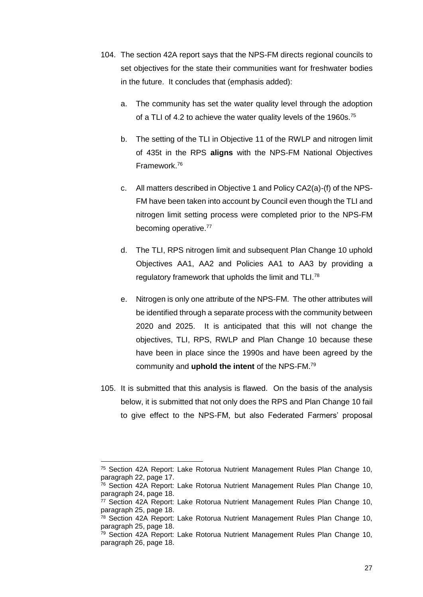- 104. The section 42A report says that the NPS-FM directs regional councils to set objectives for the state their communities want for freshwater bodies in the future. It concludes that (emphasis added):
	- a. The community has set the water quality level through the adoption of a TLI of 4.2 to achieve the water quality levels of the 1960s.<sup>75</sup>
	- b. The setting of the TLI in Objective 11 of the RWLP and nitrogen limit of 435t in the RPS **aligns** with the NPS-FM National Objectives Framework.<sup>76</sup>
	- c. All matters described in Objective 1 and Policy CA2(a)-(f) of the NPS-FM have been taken into account by Council even though the TLI and nitrogen limit setting process were completed prior to the NPS-FM becoming operative.<sup>77</sup>
	- d. The TLI, RPS nitrogen limit and subsequent Plan Change 10 uphold Objectives AA1, AA2 and Policies AA1 to AA3 by providing a regulatory framework that upholds the limit and TLI.<sup>78</sup>
	- e. Nitrogen is only one attribute of the NPS-FM. The other attributes will be identified through a separate process with the community between 2020 and 2025. It is anticipated that this will not change the objectives, TLI, RPS, RWLP and Plan Change 10 because these have been in place since the 1990s and have been agreed by the community and **uphold the intent** of the NPS-FM.<sup>79</sup>
- 105. It is submitted that this analysis is flawed. On the basis of the analysis below, it is submitted that not only does the RPS and Plan Change 10 fail to give effect to the NPS-FM, but also Federated Farmers' proposal

<sup>75</sup> Section 42A Report: Lake Rotorua Nutrient Management Rules Plan Change 10, paragraph 22, page 17.

<sup>76</sup> Section 42A Report: Lake Rotorua Nutrient Management Rules Plan Change 10, paragraph 24, page 18.

<sup>77</sup> Section 42A Report: Lake Rotorua Nutrient Management Rules Plan Change 10, paragraph 25, page 18.

<sup>78</sup> Section 42A Report: Lake Rotorua Nutrient Management Rules Plan Change 10, paragraph 25, page 18.

 $79$  Section 42A Report: Lake Rotorua Nutrient Management Rules Plan Change 10, paragraph 26, page 18.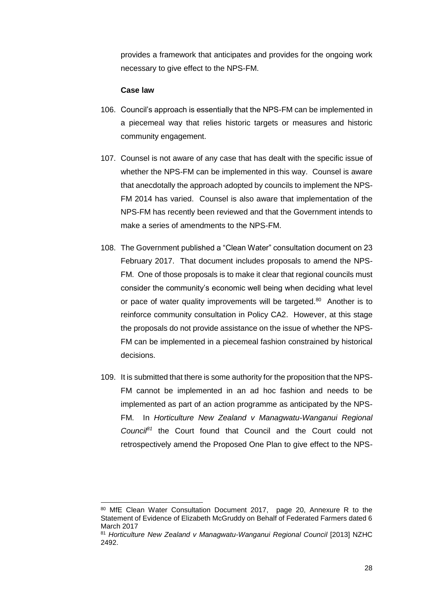provides a framework that anticipates and provides for the ongoing work necessary to give effect to the NPS-FM.

#### **Case law**

1

- 106. Council's approach is essentially that the NPS-FM can be implemented in a piecemeal way that relies historic targets or measures and historic community engagement.
- 107. Counsel is not aware of any case that has dealt with the specific issue of whether the NPS-FM can be implemented in this way. Counsel is aware that anecdotally the approach adopted by councils to implement the NPS-FM 2014 has varied. Counsel is also aware that implementation of the NPS-FM has recently been reviewed and that the Government intends to make a series of amendments to the NPS-FM.
- 108. The Government published a "Clean Water" consultation document on 23 February 2017. That document includes proposals to amend the NPS-FM. One of those proposals is to make it clear that regional councils must consider the community's economic well being when deciding what level or pace of water quality improvements will be targeted.<sup>80</sup> Another is to reinforce community consultation in Policy CA2. However, at this stage the proposals do not provide assistance on the issue of whether the NPS-FM can be implemented in a piecemeal fashion constrained by historical decisions.
- 109. It is submitted that there is some authority for the proposition that the NPS-FM cannot be implemented in an ad hoc fashion and needs to be implemented as part of an action programme as anticipated by the NPS-FM. In *Horticulture New Zealand v Managwatu-Wanganui Regional Council<sup>81</sup>* the Court found that Council and the Court could not retrospectively amend the Proposed One Plan to give effect to the NPS-

<sup>80</sup> MfE Clean Water Consultation Document 2017, page 20, Annexure R to the Statement of Evidence of Elizabeth McGruddy on Behalf of Federated Farmers dated 6 March 2017

<sup>81</sup> *Horticulture New Zealand v Managwatu-Wanganui Regional Council* [2013] NZHC 2492.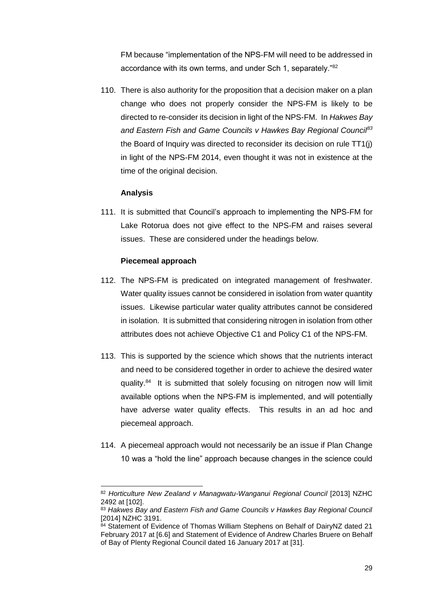FM because "implementation of the NPS-FM will need to be addressed in accordance with its own terms, and under Sch 1, separately."<sup>82</sup>

110. There is also authority for the proposition that a decision maker on a plan change who does not properly consider the NPS-FM is likely to be directed to re-consider its decision in light of the NPS-FM. In *Hakwes Bay and Eastern Fish and Game Councils v Hawkes Bay Regional Council<sup>83</sup>* the Board of Inquiry was directed to reconsider its decision on rule TT1(j) in light of the NPS-FM 2014, even thought it was not in existence at the time of the original decision.

# **Analysis**

111. It is submitted that Council's approach to implementing the NPS-FM for Lake Rotorua does not give effect to the NPS-FM and raises several issues. These are considered under the headings below.

# **Piecemeal approach**

- 112. The NPS-FM is predicated on integrated management of freshwater. Water quality issues cannot be considered in isolation from water quantity issues. Likewise particular water quality attributes cannot be considered in isolation. It is submitted that considering nitrogen in isolation from other attributes does not achieve Objective C1 and Policy C1 of the NPS-FM.
- 113. This is supported by the science which shows that the nutrients interact and need to be considered together in order to achieve the desired water quality.<sup>84</sup> It is submitted that solely focusing on nitrogen now will limit available options when the NPS-FM is implemented, and will potentially have adverse water quality effects. This results in an ad hoc and piecemeal approach.
- 114. A piecemeal approach would not necessarily be an issue if Plan Change 10 was a "hold the line" approach because changes in the science could

<sup>1</sup> <sup>82</sup> *Horticulture New Zealand v Managwatu-Wanganui Regional Council* [2013] NZHC 2492 at [102].

<sup>83</sup> Hakwes Bay and Eastern Fish and Game Councils v Hawkes Bay Regional Council [2014] NZHC 3191.

<sup>84</sup> Statement of Evidence of Thomas William Stephens on Behalf of DairyNZ dated 21 February 2017 at [6.6] and Statement of Evidence of Andrew Charles Bruere on Behalf of Bay of Plenty Regional Council dated 16 January 2017 at [31].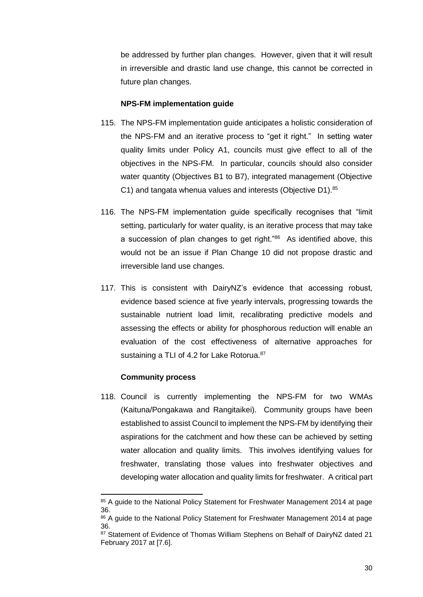be addressed by further plan changes. However, given that it will result in irreversible and drastic land use change, this cannot be corrected in future plan changes.

### **NPS-FM implementation guide**

- 115. The NPS-FM implementation guide anticipates a holistic consideration of the NPS-FM and an iterative process to "get it right." In setting water quality limits under Policy A1, councils must give effect to all of the objectives in the NPS-FM. In particular, councils should also consider water quantity (Objectives B1 to B7), integrated management (Objective C1) and tangata whenua values and interests (Objective D1).<sup>85</sup>
- 116. The NPS-FM implementation guide specifically recognises that "limit setting, particularly for water quality, is an iterative process that may take a succession of plan changes to get right."<sup>86</sup> As identified above, this would not be an issue if Plan Change 10 did not propose drastic and irreversible land use changes.
- 117. This is consistent with DairyNZ's evidence that accessing robust, evidence based science at five yearly intervals, progressing towards the sustainable nutrient load limit, recalibrating predictive models and assessing the effects or ability for phosphorous reduction will enable an evaluation of the cost effectiveness of alternative approaches for sustaining a TLI of 4.2 for Lake Rotorua.<sup>87</sup>

# **Community process**

-

118. Council is currently implementing the NPS-FM for two WMAs (Kaituna/Pongakawa and Rangitaikei). Community groups have been established to assist Council to implement the NPS-FM by identifying their aspirations for the catchment and how these can be achieved by setting water allocation and quality limits. This involves identifying values for freshwater, translating those values into freshwater objectives and developing water allocation and quality limits for freshwater. A critical part

<sup>85</sup> A guide to the National Policy Statement for Freshwater Management 2014 at page 36.

<sup>86</sup> A guide to the National Policy Statement for Freshwater Management 2014 at page 36.

<sup>87</sup> Statement of Evidence of Thomas William Stephens on Behalf of DairyNZ dated 21 February 2017 at [7.6].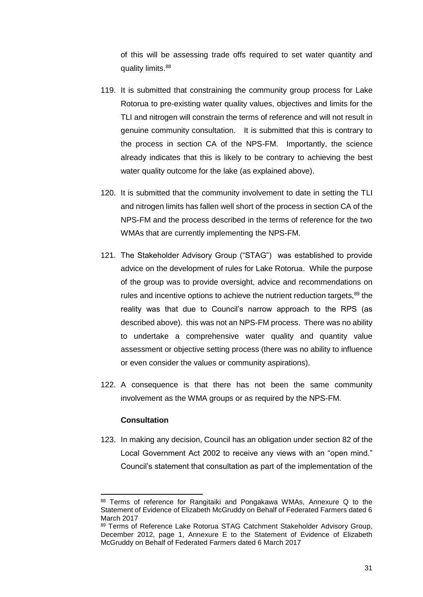of this will be assessing trade offs required to set water quantity and quality limits.<sup>88</sup>

- 119. It is submitted that constraining the community group process for Lake Rotorua to pre-existing water quality values, objectives and limits for the TLI and nitrogen will constrain the terms of reference and will not result in genuine community consultation. It is submitted that this is contrary to the process in section CA of the NPS-FM. Importantly, the science already indicates that this is likely to be contrary to achieving the best water quality outcome for the lake (as explained above).
- 120. It is submitted that the community involvement to date in setting the TLI and nitrogen limits has fallen well short of the process in section CA of the NPS-FM and the process described in the terms of reference for the two WMAs that are currently implementing the NPS-FM.
- 121. The Stakeholder Advisory Group ("STAG") was established to provide advice on the development of rules for Lake Rotorua. While the purpose of the group was to provide oversight, advice and recommendations on rules and incentive options to achieve the nutrient reduction targets, $89$  the reality was that due to Council's narrow approach to the RPS (as described above). this was not an NPS-FM process. There was no ability to undertake a comprehensive water quality and quantity value assessment or objective setting process (there was no ability to influence or even consider the values or community aspirations).
- 122. A consequence is that there has not been the same community involvement as the WMA groups or as required by the NPS-FM.

### **Consultation**

-

123. In making any decision, Council has an obligation under section 82 of the Local Government Act 2002 to receive any views with an "open mind." Council's statement that consultation as part of the implementation of the

<sup>88</sup> Terms of reference for Rangitaiki and Pongakawa WMAs, Annexure Q to the Statement of Evidence of Elizabeth McGruddy on Behalf of Federated Farmers dated 6 March 2017

<sup>89</sup> Terms of Reference Lake Rotorua STAG Catchment Stakeholder Advisory Group, December 2012, page 1, Annexure E to the Statement of Evidence of Elizabeth McGruddy on Behalf of Federated Farmers dated 6 March 2017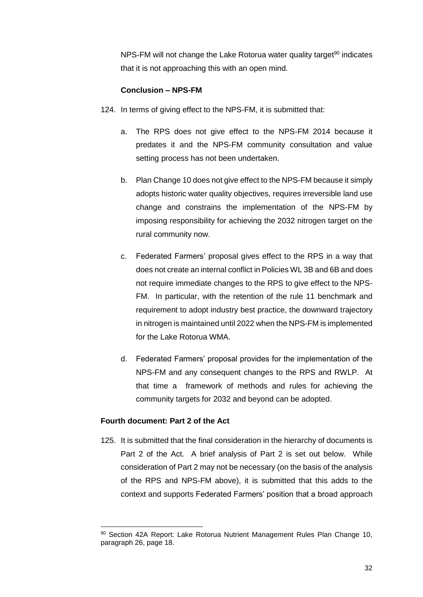NPS-FM will not change the Lake Rotorua water quality target<sup>90</sup> indicates that it is not approaching this with an open mind.

#### **Conclusion – NPS-FM**

- 124. In terms of giving effect to the NPS-FM, it is submitted that:
	- a. The RPS does not give effect to the NPS-FM 2014 because it predates it and the NPS-FM community consultation and value setting process has not been undertaken.
	- b. Plan Change 10 does not give effect to the NPS-FM because it simply adopts historic water quality objectives, requires irreversible land use change and constrains the implementation of the NPS-FM by imposing responsibility for achieving the 2032 nitrogen target on the rural community now.
	- c. Federated Farmers' proposal gives effect to the RPS in a way that does not create an internal conflict in Policies WL 3B and 6B and does not require immediate changes to the RPS to give effect to the NPS-FM. In particular, with the retention of the rule 11 benchmark and requirement to adopt industry best practice, the downward trajectory in nitrogen is maintained until 2022 when the NPS-FM is implemented for the Lake Rotorua WMA.
	- d. Federated Farmers' proposal provides for the implementation of the NPS-FM and any consequent changes to the RPS and RWLP. At that time a framework of methods and rules for achieving the community targets for 2032 and beyond can be adopted.

#### **Fourth document: Part 2 of the Act**

1

125. It is submitted that the final consideration in the hierarchy of documents is Part 2 of the Act. A brief analysis of Part 2 is set out below. While consideration of Part 2 may not be necessary (on the basis of the analysis of the RPS and NPS-FM above), it is submitted that this adds to the context and supports Federated Farmers' position that a broad approach

<sup>90</sup> Section 42A Report: Lake Rotorua Nutrient Management Rules Plan Change 10, paragraph 26, page 18.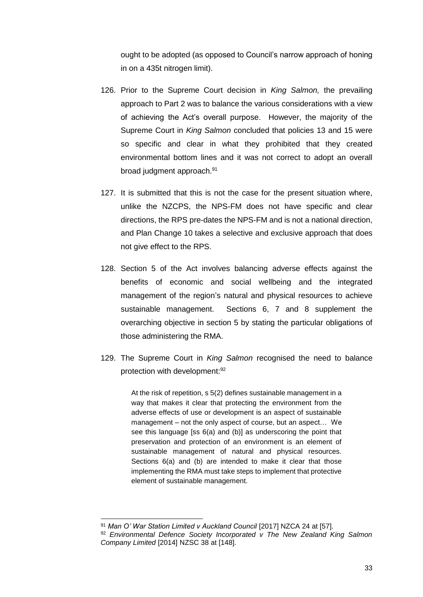ought to be adopted (as opposed to Council's narrow approach of honing in on a 435t nitrogen limit).

- 126. Prior to the Supreme Court decision in *King Salmon,* the prevailing approach to Part 2 was to balance the various considerations with a view of achieving the Act's overall purpose. However, the majority of the Supreme Court in *King Salmon* concluded that policies 13 and 15 were so specific and clear in what they prohibited that they created environmental bottom lines and it was not correct to adopt an overall broad judgment approach.<sup>91</sup>
- 127. It is submitted that this is not the case for the present situation where, unlike the NZCPS, the NPS-FM does not have specific and clear directions, the RPS pre-dates the NPS-FM and is not a national direction, and Plan Change 10 takes a selective and exclusive approach that does not give effect to the RPS.
- 128. Section 5 of the Act involves balancing adverse effects against the benefits of economic and social wellbeing and the integrated management of the region's natural and physical resources to achieve sustainable management. Sections 6, 7 and 8 supplement the overarching objective in section 5 by stating the particular obligations of those administering the RMA.
- 129. The Supreme Court in *King Salmon* recognised the need to balance protection with development: 92

At the risk of repetition, s 5(2) defines sustainable management in a way that makes it clear that protecting the environment from the adverse effects of use or development is an aspect of sustainable management – not the only aspect of course, but an aspect… We see this language [ss 6(a) and (b)] as underscoring the point that preservation and protection of an environment is an element of sustainable management of natural and physical resources. Sections 6(a) and (b) are intended to make it clear that those implementing the RMA must take steps to implement that protective element of sustainable management.

<sup>&</sup>lt;sup>91</sup> Man O' War Station Limited v Auckland Council [2017] NZCA 24 at [57].

<sup>92</sup> *Environmental Defence Society Incorporated v The New Zealand King Salmon Company Limited* [2014] NZSC 38 at [148].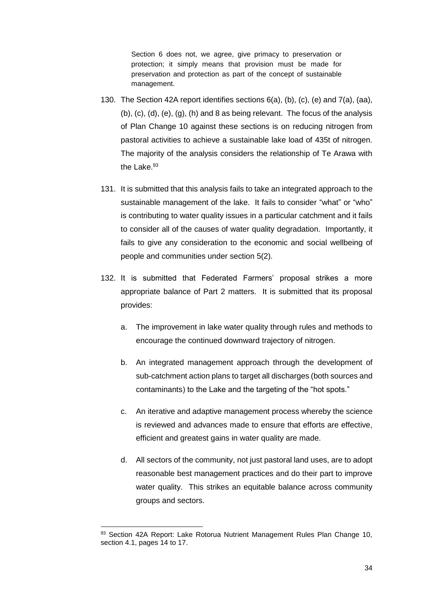Section 6 does not, we agree, give primacy to preservation or protection; it simply means that provision must be made for preservation and protection as part of the concept of sustainable management.

- 130. The Section 42A report identifies sections 6(a), (b), (c), (e) and 7(a), (aa), (b), (c), (d), (e), (g), (h) and 8 as being relevant. The focus of the analysis of Plan Change 10 against these sections is on reducing nitrogen from pastoral activities to achieve a sustainable lake load of 435t of nitrogen. The majority of the analysis considers the relationship of Te Arawa with the Lake.<sup>93</sup>
- 131. It is submitted that this analysis fails to take an integrated approach to the sustainable management of the lake. It fails to consider "what" or "who" is contributing to water quality issues in a particular catchment and it fails to consider all of the causes of water quality degradation. Importantly, it fails to give any consideration to the economic and social wellbeing of people and communities under section 5(2).
- 132. It is submitted that Federated Farmers' proposal strikes a more appropriate balance of Part 2 matters. It is submitted that its proposal provides:
	- a. The improvement in lake water quality through rules and methods to encourage the continued downward trajectory of nitrogen.
	- b. An integrated management approach through the development of sub-catchment action plans to target all discharges (both sources and contaminants) to the Lake and the targeting of the "hot spots."
	- c. An iterative and adaptive management process whereby the science is reviewed and advances made to ensure that efforts are effective, efficient and greatest gains in water quality are made.
	- d. All sectors of the community, not just pastoral land uses, are to adopt reasonable best management practices and do their part to improve water quality. This strikes an equitable balance across community groups and sectors.

1

<sup>93</sup> Section 42A Report: Lake Rotorua Nutrient Management Rules Plan Change 10, section 4.1, pages 14 to 17.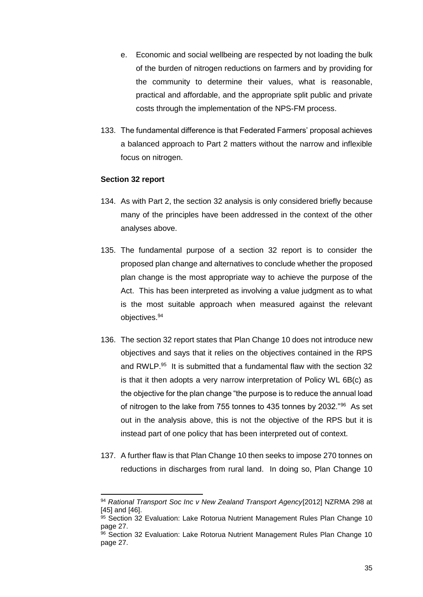- e. Economic and social wellbeing are respected by not loading the bulk of the burden of nitrogen reductions on farmers and by providing for the community to determine their values, what is reasonable, practical and affordable, and the appropriate split public and private costs through the implementation of the NPS-FM process.
- 133. The fundamental difference is that Federated Farmers' proposal achieves a balanced approach to Part 2 matters without the narrow and inflexible focus on nitrogen.

### **Section 32 report**

- 134. As with Part 2, the section 32 analysis is only considered briefly because many of the principles have been addressed in the context of the other analyses above.
- 135. The fundamental purpose of a section 32 report is to consider the proposed plan change and alternatives to conclude whether the proposed plan change is the most appropriate way to achieve the purpose of the Act. This has been interpreted as involving a value judgment as to what is the most suitable approach when measured against the relevant objectives.<sup>94</sup>
- 136. The section 32 report states that Plan Change 10 does not introduce new objectives and says that it relies on the objectives contained in the RPS and RWLP.<sup>95</sup> It is submitted that a fundamental flaw with the section 32 is that it then adopts a very narrow interpretation of Policy WL 6B(c) as the objective for the plan change "the purpose is to reduce the annual load of nitrogen to the lake from 755 tonnes to 435 tonnes by 2032."<sup>96</sup> As set out in the analysis above, this is not the objective of the RPS but it is instead part of one policy that has been interpreted out of context.
- 137. A further flaw is that Plan Change 10 then seeks to impose 270 tonnes on reductions in discharges from rural land. In doing so, Plan Change 10

<sup>94</sup> *Rational Transport Soc Inc v New Zealand Transport Agency*[2012] NZRMA 298 at [45] and [46].

<sup>95</sup> Section 32 Evaluation: Lake Rotorua Nutrient Management Rules Plan Change 10 page 27.

<sup>96</sup> Section 32 Evaluation: Lake Rotorua Nutrient Management Rules Plan Change 10 page 27.